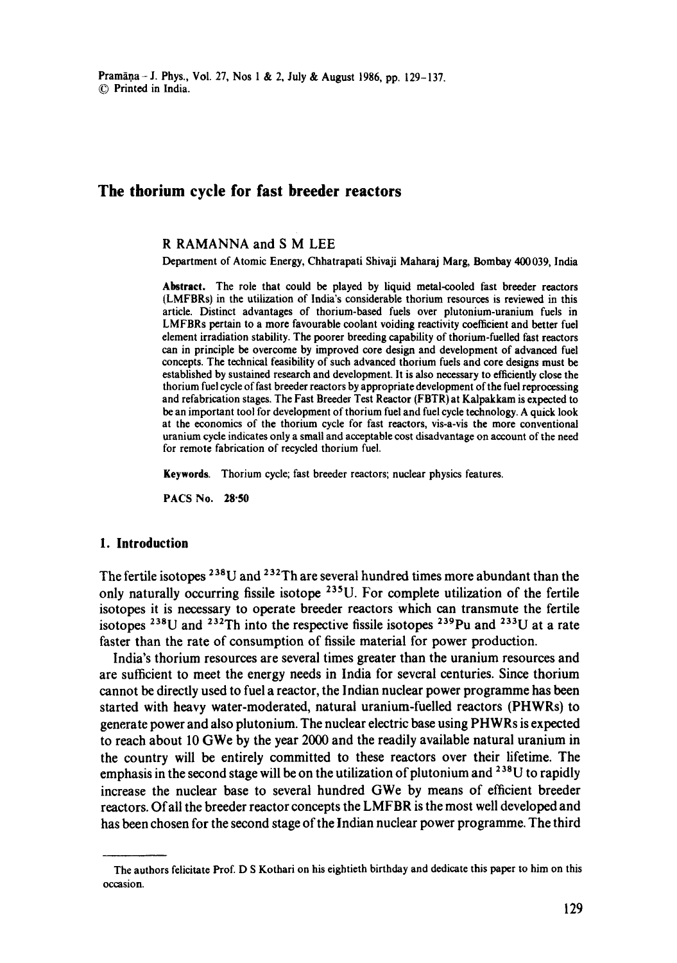# **The thorium cycle for fast breeder reactors**

### **R** RAMANNA and **S M LEE**

Department of Atomic Energy, Chhatrapati Shivaji Maharaj Marg, Bombay 400039, India

Abstract. The role that could be played by liquid metal-cooled fast breeder reactors (LMFBRs) in the utilization of India's considerable thorium resources is reviewed in this article. Distinct advantages of thorium-based fuels over plutonium-uranium fuels in LMFBRs pertain to a more favourable coolant voiding reactivity coefficient and better fuel element irradiation stability. The poorer breeding capability of thorium-fuelled fast reactors can in principle be overcome by improved core design and development of advanced fuel concepts. The technical feasibility of such advanced thorium fuels and core designs must be established by sustained research and development. It is also necessary to efficiently close the thorium fuel cycle of fast breeder reactors by appropriate development of the fuel reprocessing and refabrication stages. The Fast Breeder Test Reactor (FBTR) at Kalpakkam is expected to be an important tool for development of thorium fuel and fuel cycle technology. A quick look at the economics of the thorium cycle for fast reactors, vis-a-vis the more conventional uranium cycle indicates only a small and acceptable cost disadvantage on account of the need for remote fabrication of recycled thorium fuel.

Keywords. Thorium cycle; fast breeder reactors; nuclear physics features.

**PACS No. 28"50** 

#### **1. Introduction**

The fertile isotopes  $^{238}$ U and  $^{232}$ Th are several hundred times more abundant than the only naturally occurring fissile isotope 235U. For complete utilization of the fertile isotopes it is necessary to operate breeder reactors which can transmute the fertile isotopes <sup>238</sup>U and <sup>232</sup>Th into the respective fissile isotopes <sup>239</sup>Pu and <sup>233</sup>U at a rate faster than the rate of consumption of fissile material for power production.

India's thorium resources are several times greater than the uranium resources and are sufficient to meet the energy needs in India for several centuries. Since thorium cannot be directly used to fuel a reactor, the Indian nuclear power programme has been started with heavy water-moderated, natural uranium-fuelled reactors (PHWRs) to generate power and also plutonium. The nuclear electric base using PHWRs is expected to reach about 10 GWe by the year 2000 and the readily available natural uranium in the country will be entirely committed to these reactors over their lifetime. The emphasis in the second stage will be on the utilization of plutonium and  $^{238}$ U to rapidly increase the nuclear base to several hundred GWe by means of efficient breeder reactors. Of all the breeder reactor concepts the LMFBR is the most well developed and has been chosen for the second stage of the Indian nuclear power programme. The third

The authors felicitate Prof. D S Kothari on his eightieth birthday and dedicate this paper to him on this occasion.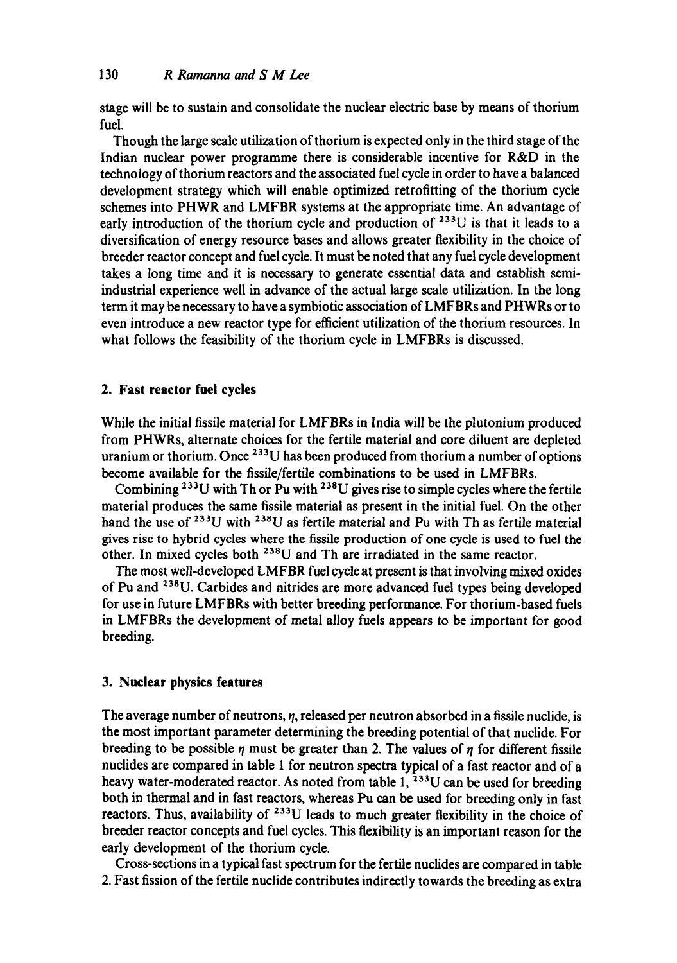stage will be to sustain and consolidate the nuclear electric base by means of thorium fuel.

Though the large scale utilization of thorium is expected only in the third stage of the Indian nuclear power programme there is considerable incentive for R&D in the technology of thorium reactors and the associated fuel cycle in order to have a balanced development strategy which will enable optimized retrofitting of the thorium cycle schemes into PHWR and LMFBR systems at the appropriate time. An advantage of early introduction of the thorium cycle and production of <sup>233</sup>U is that it leads to a diversification of energy resource bases and allows greater flexibility in the choice of breeder reactor concept and fuel cycle. It must be noted that any fuel cycle development takes a long time and it is necessary to generate essential data and establish semiindustrial experience well in advance of the actual large scale utilization. In the long term it may be necessary to have a symbiotic association of LMFBRs and PHWRs or to even introduce a new reactor type for efficient utilization of the thorium resources. In what follows the feasibility of the thorium cycle in LMFBRs is discussed.

### **2. Fast reactor fuel cycles**

While the initial fissile material for LMFBRs in India will be the plutonium produced from PHWRs, alternate choices for the fertile material and core diluent are depleted uranium or thorium. Once  $^{233}U$  has been produced from thorium a number of options become available for the fissile/fertile combinations to be used in LMFBRs.

Combining  $^{233}$ U with Th or Pu with  $^{238}$ U gives rise to simple cycles where the fertile material produces the same fissile material as present in the initial fuel. On the other hand the use of  $^{233}$ U with  $^{238}$ U as fertile material and Pu with Th as fertile material gives rise to hybrid cycles where the fissile production of one cycle is used to fuel the other. In mixed cycles both  $^{238}$ U and Th are irradiated in the same reactor.

The most well-developed LMFBR fuel cycle at present is that involving mixed oxides of Pu and <sup>238</sup>U. Carbides and nitrides are more advanced fuel types being developed for use in future LMFBRs with better breeding performance. For thorium-based fuels in LMFBRs the development of metal alloy fuels appears to be important for good breeding.

### **3. Nuclear physics features**

The average number of neutrons,  $\eta$ , released per neutron absorbed in a fissile nuclide, is the most important parameter determining the breeding potential of that nuclide. For breeding to be possible  $\eta$  must be greater than 2. The values of  $\eta$  for different fissile nuclides are compared in table 1 for neutron spectra typical of a fast reactor and of a heavy water-moderated reactor. As noted from table  $1,{}^{233}U$  can be used for breeding both in thermal and in fast reactors, whereas Pu can be used for breeding only in fast reactors. Thus, availability of  $233U$  leads to much greater flexibility in the choice of breeder reactor concepts and fuel cycles. This flexibility is an important reason for the early development of the thorium cycle.

Cross-sections in a typical fast spectrum for the fertile nuclides are compared in table 2. Fast fission of the fertile nuclide contributes indirectly towards the breeding as extra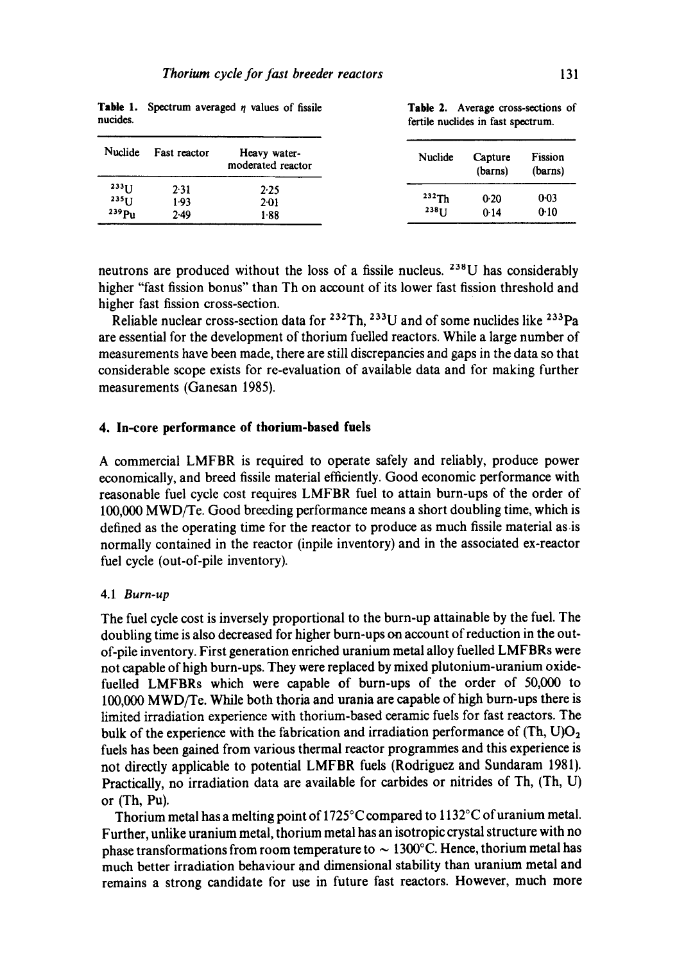| Nuclide              | Fast reactor | Heavy water-<br>moderated reactor | Nuclide  | Capture<br>(barns) | Fission<br>(barns) |
|----------------------|--------------|-----------------------------------|----------|--------------------|--------------------|
| $233$ []<br>$235$ [] | 2.31<br>1.93 | 2.25<br>$2 - 01$                  | 232Th    | 0.20               | $0-03$             |
| 239P <sub>u</sub>    | 2.49         | 1-88                              | $238$ [] | 0.14               | 0.10               |

**Table 1.** Spectrum averaged  $\eta$  values of fissile Table 2. Average cross-sections of nucides.<br> **Table 2.** Average cross-sections of

fertile nuclides in fast spectrum.

neutrons are produced without the loss of a fissile nucleus. 238U has considerably higher "fast fission bonus" than Th on account of its lower fast fission threshold and higher fast fission cross-section.

Reliable nuclear cross-section data for  $^{232}$ Th,  $^{233}$ U and of some nuclides like  $^{233}$ Pa are essential for the development of thorium fuelled reactors. While a large number of measurements have been made, there are still discrepancies and gaps in the data so that considerable scope exists for re-evaluation of available data and for making further measurements (Ganesan 1985).

#### **4. In-core performance of thorium-based fuels**

A commercial LMFBR is required to operate safely and reliably, produce power economically, and breed fissile material efficiently. Good economic performance with reasonable fuel cycle cost requires LMFBR fuel to attain burn-ups of the order of 100,000 MWD/Te. Good breeding performance means a short doubling time, which is defined as the operating time for the reactor to produce as much fissile material as is normally contained in the reactor (inpile inventory) and in the associated ex-reactor fuel cycle (out-of-pile inventory).

### 4.1 *Burn-up*

The fuel cycle cost is inversely proportional to the burn-up attainable by the fuel. The doubling time is also decreased for higher burn-ups on account of reduction in the outof-pile inventory. First generation enriched uranium metal alloy fuelled LMFBRs were not capable of high burn-ups. They were replaced by mixed plutonium-uranium oxidefuelled LMFBRs which were capable of burn-ups of the order of 50,000 to 100,000 MWD/Te. While both thoria and urania are capable of high burn-ups there is limited irradiation experience with thorium-based ceramic fuels for fast reactors. The bulk of the experience with the fabrication and irradiation performance of  $(Th, U)O<sub>2</sub>$ fuels has been gained from various thermal reactor programmes and this experience is not directly applicable to potential LMFBR fuels (Rodriguez and Sundaram 1981). Practically, no irradiation data are available for carbides or nitrides of Th, (Th, U) or (Th, Pu).

Thorium metal has a melting point of 1725°C compared to 1132°C of uranium metal. Further, unlike uranium metal, thorium metal has an isotropic crystal structure with no phase transformations from room temperature to  $\sim 1300^{\circ}$ C. Hence, thorium metal has much better irradiation behaviour and dimensional stability than uranium metal and remains a strong candidate for use in future fast reactors. However, much more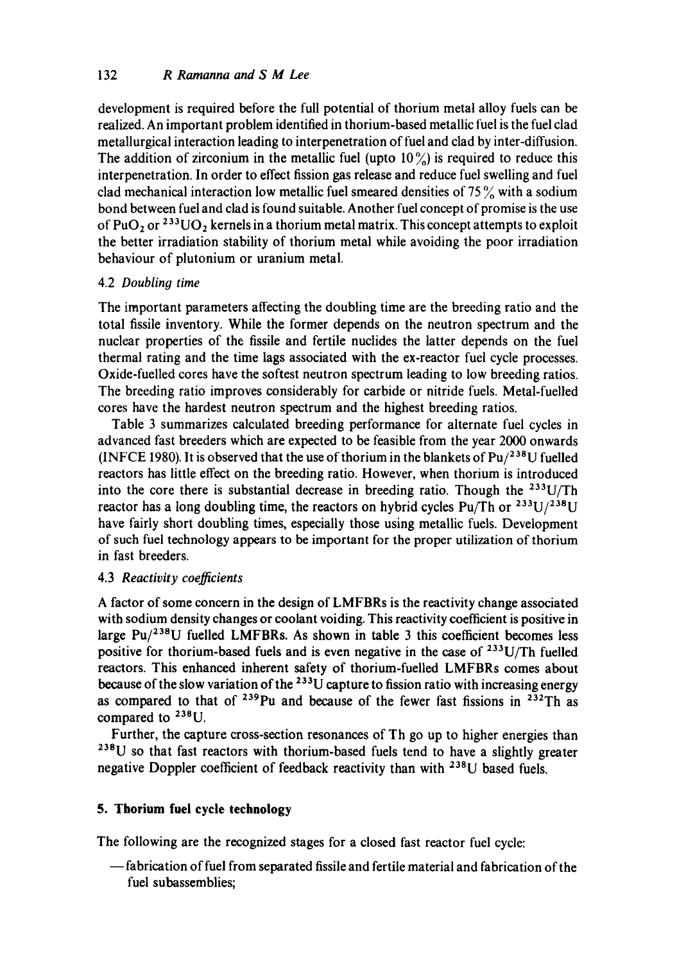development is required before the full potential of thorium metal alloy fuels can be realized. An important problem identified in thorium-based metallic fuel is the fuel clad metallurgical interaction leading to interpenetration of fuel and clad by inter-diffusion. The addition of zirconium in the metallic fuel (upto  $10\frac{\text{°}}{\text{°}}$ ) is required to reduce this interpenetration. In order to effect fission gas release and reduce fuel swelling and fuel clad mechanical interaction low metallic fuel smeared densities of  $75\%$  with a sodium bond between fuel and clad is found suitable. Another fuel concept of promise is the use of PuO<sub>2</sub> or <sup>233</sup>UO<sub>2</sub> kernels in a thorium metal matrix. This concept attempts to exploit the better irradiation stability of thorium metal while avoiding the poor irradiation behaviour of plutonium or uranium metal.

# 4.2 *Doubling time*

The important parameters affecting the doubling time are the breeding ratio and the total fissile inventory. While the former depends on the neutron spectrum and the nuclear properties of the fissile and fertile nuclides the latter depends on the fuel thermal rating and the time lags associated with the ex-reactor fuel cycle processes. Oxide-fuelled cores have the softest neutron spectrum leading to low breeding ratios. The breeding ratio improves considerably for carbide or nitride fuels. Metal-fuelled cores have the hardest neutron spectrum and the highest breeding ratios.

Table 3 summarizes calculated breeding performance for alternate fuel cycles in advanced fast breeders which are expected to be feasible from the year 2000 onwards (INFCE 1980). It is observed that the use of thorium in the blankets of  $Pu/^{238}U$  fuelled reactors has little effect on the breeding ratio. However, when thorium is introduced into the core there is substantial decrease in breeding ratio. Though the  $233U/Th$ reactor has a long doubling time, the reactors on hybrid cycles Pu/Th or  $233U/238U$ have fairly short doubling times, especially those using metallic fuels. Development of such fuel technology appears to be important for the proper utilization of thorium in fast breeders.

### 4.3 *Reactivity coefficients*

A factor of some concern in the design of LMFBRs is the reactivity change associated with sodium density changes or coolant voiding. This reactivity coefficient is positive in large  $Pu/^{238}U$  fuelled LMFBRs. As shown in table 3 this coefficient becomes less positive for thorium-based fuels and is even negative in the case of  $233U/Th$  fuelled reactors. This enhanced inherent safety of thorium-fuelled LMFBRs comes about because of the slow variation of the  $^{233}$ U capture to fission ratio with increasing energy as compared to that of  $239$ Pu and because of the fewer fast fissions in  $232$ Th as compared to <sup>238</sup>U.

Further, the capture cross-section resonances of Th go up to higher energies than  $238$ U so that fast reactors with thorium-based fuels tend to have a slightly greater negative Doppler coefficient of feedback reactivity than with <sup>238</sup>U based fuels.

# **5. Thorium fuel cycle technology**

The following are the recognized stages for a closed fast reactor fuel cycle:

**--fabrication** of fuel from separated fissile and fertile material and fabrication of the fuel subassemblies;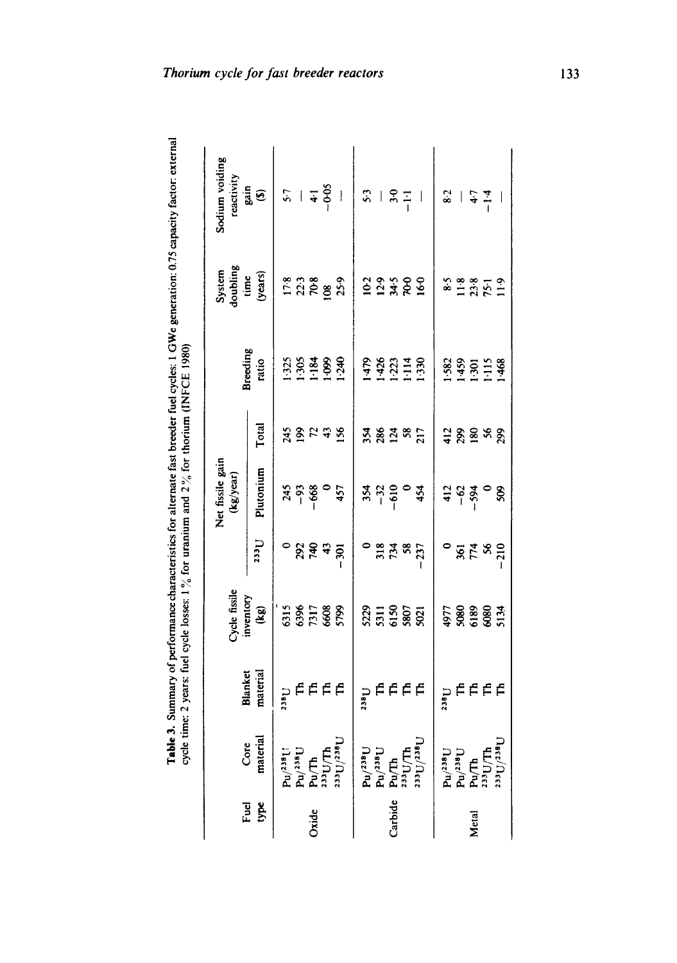| į                  | ;<br>;         |
|--------------------|----------------|
|                    |                |
|                    |                |
|                    | <br> <br> <br> |
|                    |                |
|                    | $\vdots$       |
|                    |                |
|                    |                |
|                    |                |
| ţ<br>$\frac{1}{4}$ |                |

|              |                                                                                                                                                                                                                                                                              |                            | Cycle fissil                 |                                | Net fissile gain<br>$\left(\frac{kg}{year}\right)$ |              |                                | System<br>doubling<br>time<br>(years) | Sodium voiding<br>reactivity                    |
|--------------|------------------------------------------------------------------------------------------------------------------------------------------------------------------------------------------------------------------------------------------------------------------------------|----------------------------|------------------------------|--------------------------------|----------------------------------------------------|--------------|--------------------------------|---------------------------------------|-------------------------------------------------|
| Fuel<br>type | material<br>Core                                                                                                                                                                                                                                                             | material<br><b>Blanket</b> | inventory<br>(kg)            | <b>Leez</b>                    | Plutonium                                          | Total        | Breeding<br>ratio              |                                       | $gain$<br>(5)                                   |
|              |                                                                                                                                                                                                                                                                              |                            |                              |                                |                                                    |              |                                |                                       |                                                 |
|              |                                                                                                                                                                                                                                                                              | e<br>Eede                  | 515<br>536<br>5608<br>5798   |                                | $745$<br>$-93$<br>$-68$<br>$-6$<br>$457$           |              |                                |                                       |                                                 |
| Ox           |                                                                                                                                                                                                                                                                              |                            |                              |                                |                                                    |              |                                |                                       |                                                 |
|              |                                                                                                                                                                                                                                                                              |                            |                              |                                |                                                    |              |                                |                                       |                                                 |
|              | $\begin{array}{ll} \mathbf{D}^{\text{int}}_{\text{int}} \\ \mathbf{D}^{\text{int}}_{\text{int}} \\ \mathbf{D}^{\text{int}}_{\text{int}} \\ \mathbf{D}^{\text{int}}_{\text{int}} \\ \mathbf{D}^{\text{int}}_{\text{int}} \\ \mathbf{D}^{\text{int}}_{\text{int}} \end{array}$ |                            |                              | ៓ឨ៹៵៓                          |                                                    | <b>ASHAR</b> | 3383888                        | $17.8$<br>$23.3$<br>$89.3$<br>$25.9$  | $57$<br>$-6-6$<br>$-6-6$                        |
|              |                                                                                                                                                                                                                                                                              | anaa<br>S                  |                              |                                |                                                    |              |                                |                                       |                                                 |
|              |                                                                                                                                                                                                                                                                              |                            | $37.58$<br>$55.58$<br>$38.5$ | <b>្ត្ត</b> <del>ដ</del> ូន ដូ |                                                    | <b>38285</b> | 1479<br>1426<br>11114<br>11330 |                                       |                                                 |
| arbid        |                                                                                                                                                                                                                                                                              |                            |                              |                                |                                                    |              |                                |                                       |                                                 |
|              |                                                                                                                                                                                                                                                                              |                            |                              |                                |                                                    |              |                                |                                       |                                                 |
|              | $\begin{array}{l} \mathbf{P} \mathbf{u} / 2 \mathbf{a} \mathbf{u} \\ \mathbf{P} \mathbf{u} \mathbf{u} \\ \mathbf{P} \mathbf{u} \mathbf{u} \\ \mathbf{u} \mathbf{u} \\ \mathbf{u} \mathbf{u} \\ \mathbf{u} \mathbf{u} \end{array}$                                            |                            |                              |                                | $33.30$<br>$-610$<br>$-610$<br>$45$                |              |                                | 123389                                | $\frac{3}{2}$   $\frac{5}{2}$   $\frac{1}{2}$   |
|              | $\begin{array}{lcl} \mathbf{P}\mathbf{u}/^{238}\mathbf{U} \\ \mathbf{P}\mathbf{u}/\mathbf{T}\mathbf{h} \\ \mathbf{P}\mathbf{u}/\mathbf{T}\mathbf{h} \\ \mathbf{P}\mathbf{u}/\mathbf{T}\mathbf{h} \\ \mathbf{f}^{\text{BSL}}\mathbf{U} \\ \mathbf{f}^{\text{BSL}}\end{array}$ | pffff                      |                              |                                |                                                    |              |                                |                                       |                                                 |
|              |                                                                                                                                                                                                                                                                              |                            | 4977<br>5080<br>5080<br>5134 | <b>៓</b> ឨឨ៓                   | 75.8                                               | ទ្ធនិនខ្ល    | 1582<br>1459<br>1151<br>11468  | 85<br>23519<br>23511                  | $rac{1}{6}$ $rac{1}{6}$ $rac{1}{4}$ $rac{1}{4}$ |
| Metal        |                                                                                                                                                                                                                                                                              |                            |                              |                                |                                                    |              |                                |                                       |                                                 |
|              |                                                                                                                                                                                                                                                                              |                            |                              |                                |                                                    |              |                                |                                       |                                                 |
|              |                                                                                                                                                                                                                                                                              |                            |                              |                                |                                                    |              |                                |                                       |                                                 |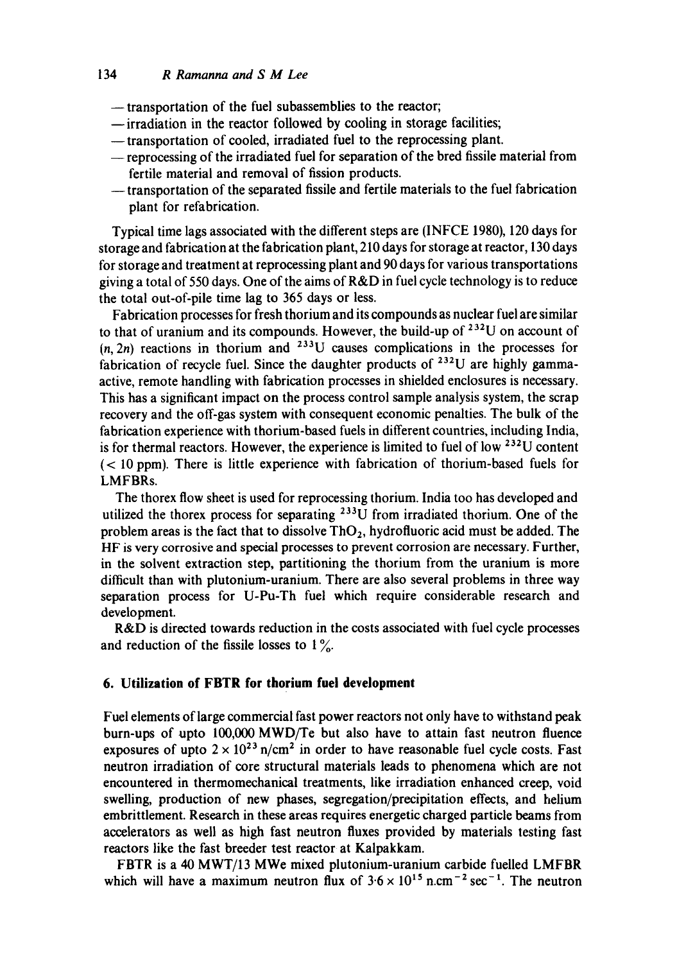## 134 *R Ramanna and S M Lee*

- **--** transportation of the fuel subassemblies to the reactor;
- **--irradiation** in the reactor followed by cooling in storage facilities;
- **--transportation** of cooled, irradiated fuel to the reprocessing plant.
- -- reprocessing of the irradiated fuel for separation of the bred fissile material from fertile material and removal of fission products.
- **--** transportation of the separated fissile and fertile materials to the fuel fabrication plant for refabrication.

Typical time lags associated with the different steps are (INFCE 1980), 120 days for storage and fabrication at the fabrication plant, 210 days for storage at reactor, 130 days for storage and treatment at reprocessing plant and 90 days for various transportations giving a total of 550 days. One of the aims of R&D in fuel cycle technology is to reduce the total out-of-pile time lag to 365 days or less.

Fabrication processes for fresh thorium and its compounds as nuclear fuel are similar to that of uranium and its compounds. However, the build-up of  $^{232}U$  on account of  $(n, 2n)$  reactions in thorium and <sup>233</sup>U causes complications in the processes for fabrication of recycle fuel. Since the daughter products of  $^{232}U$  are highly gammaactive, remote handling with fabrication processes in shielded enclosures is necessary. This has a significant impact on the process control sample analysis system, the scrap recovery and the off-gas system with consequent economic penalties. The bulk of the fabrication experience with thorium-based fuels in different countries, including India, is for thermal reactors. However, the experience is limited to fuel of low 232U content (< 10 ppm). There is little experience with fabrication of thorium-based fuels for LMFBRs.

The thorex flow sheet is used for reprocessing thorium. India too has developed and utilized the thorex process for separating <sup>233</sup>U from irradiated thorium. One of the problem areas is the fact that to dissolve  $ThO<sub>2</sub>$ , hydrofluoric acid must be added. The HF is very corrosive and special processes to prevent corrosion are necessary. Further, in the solvent extraction step, partitioning the thorium from the uranium is more difficult than with plutonium-uranium. There are also several problems in three way separation process for U-Pu-Th fuel which require considerable research and development.

R&D is directed towards reduction in the costs associated with fuel cycle processes and reduction of the fissile losses to  $1\%$ .

#### **6. Utilization of FBTR for thorium fuel development**

Fuel elements of large commercial fast power reactors not only have to withstand peak burn-ups of upto 100,000 MWD/Te but also have to attain fast neutron fluence exposures of upto  $2 \times 10^{23}$  n/cm<sup>2</sup> in order to have reasonable fuel cycle costs. Fast neutron irradiation of core structural materials leads to phenomena which are not encountered in thermomechanical treatments, like irradiation enhanced creep, void swelling, production of new phases, segregation/precipitation effects, and helium embrittlement. Research in these areas requires energetic charged particle beams from accelerators as well as high fast neutron fluxes provided by materials testing fast reactors like the fast breeder test reactor at Kalpakkam.

FBTR is a 40 MWT/13 MWe mixed plutonium-uranium carbide fuelled LMFBR which will have a maximum neutron flux of  $3.6 \times 10^{15}$  n.cm<sup>-2</sup> sec<sup>-1</sup>. The neutron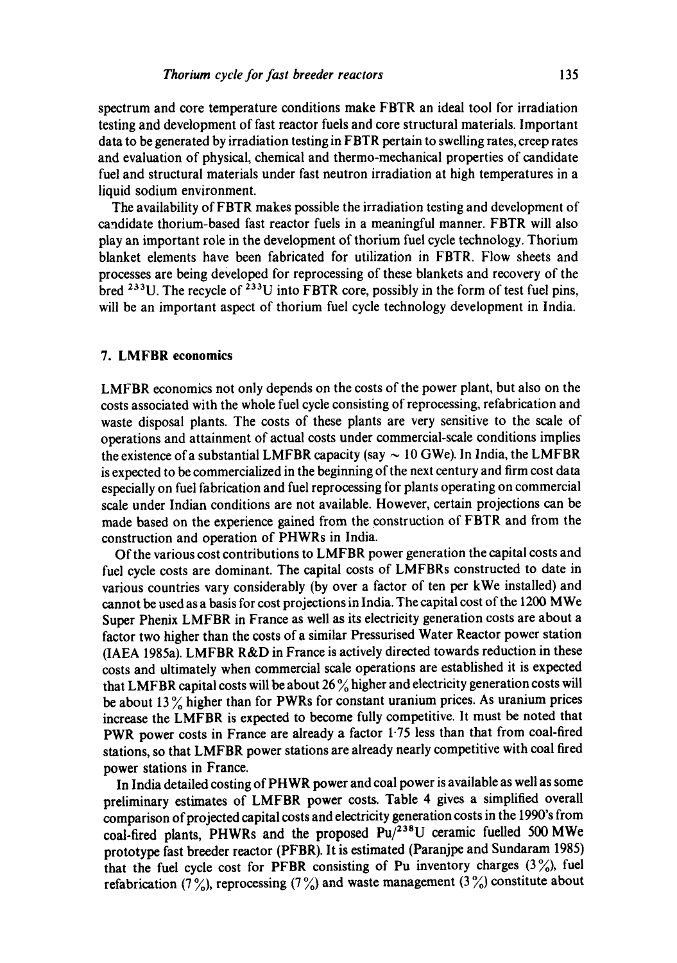spectrum and core temperature conditions make FBTR an ideal tool for irradiation testing and development of fast reactor fuels and core structural materials. Important data to be generated by irradiation testing in FBTR pertain to swelling rates, creep rates and evaluation of physical, chemical and thermo-mechanical properties of candidate fuel and structural materials under fast neutron irradiation at high temperatures in a liquid sodium environment.

The availability of FBTR makes possible the irradiation testing and development of candidate thorium-based fast reactor fuels in a meaningful manner. FBTR will also play an important role in the development of thorium fuel cycle technology. Thorium blanket elements have been fabricated for utilization in FBTR. Flow sheets and processes are being developed for reprocessing of these blankets and recovery of the bred <sup>233</sup>U. The recycle of <sup>233</sup>U into FBTR core, possibly in the form of test fuel pins, will be an important aspect of thorium fuel cycle technology development in India.

#### **7. LMFBR economics**

LMFBR economics not only depends on the costs of the power plant, but also on the costs associated with the whole fuel cycle consisting of reprocessing, refabrication and waste disposal plants. The costs of these plants are very sensitive to the scale of operations and attainment of actual costs under commercial-scale conditions implies the existence of a substantial LMFBR capacity (say  $\sim 10$  GWe). In India, the LMFBR is expected to be commercialized in the beginning of the next century and firm cost data especially on fuel fabrication and fuel reprocessing for plants operating on commercial scale under Indian conditions are not available. However, certain projections can be made based on the experience gained from the construction of FBTR and from the construction and operation of PHWRs in India.

Of the various cost contributions to LMFBR power generation the capital costs and fuel cycle costs are dominant. The capital costs of LMFBRs constructed to date in various countries vary considerably (by over a factor of ten per kWe installed) and cannot be used as a basis for cost projections in India. The capital cost of the 1200 MWe Super Phenix LMFBR in France as well as its electricity generation costs are about a factor two higher than the costs of a similar Pressurised Water Reactor power station (IAEA 1985a). LMFBR R&D in France is actively directed towards reduction in these costs and ultimately when commercial scale operations are established it is expected that LMFBR capital costs will be about 26  $\%$  higher and electricity generation costs will be about 13 $\%$  higher than for PWRs for constant uranium prices. As uranium prices increase the LMFBR is expected to become fully competitive. It must be noted that PWR power costs in France are already a factor 1.75 less than that from coal-fired stations, so that LMFBR power stations are already nearly competitive with coal fired power stations in France.

In India detailed costing of PHWR power and coal power is available as well as some preliminary estimates of LMFBR power costs. Table 4 gives a simplified overall comparison of projected capital costs and electricity generation costs in the 1990's from coal-fired plants, PHWRs and the proposed  $Pu/^{238}U$  ceramic fuelled 500 MWe prototype fast breeder reactor (PFBR). It is estimated (Paranjpe and Sundaram 1985) that the fuel cycle cost for PFBR consisting of Pu inventory charges  $(3\%)$ , fuel refabrication (7%), reprocessing (7%) and waste management (3%) constitute about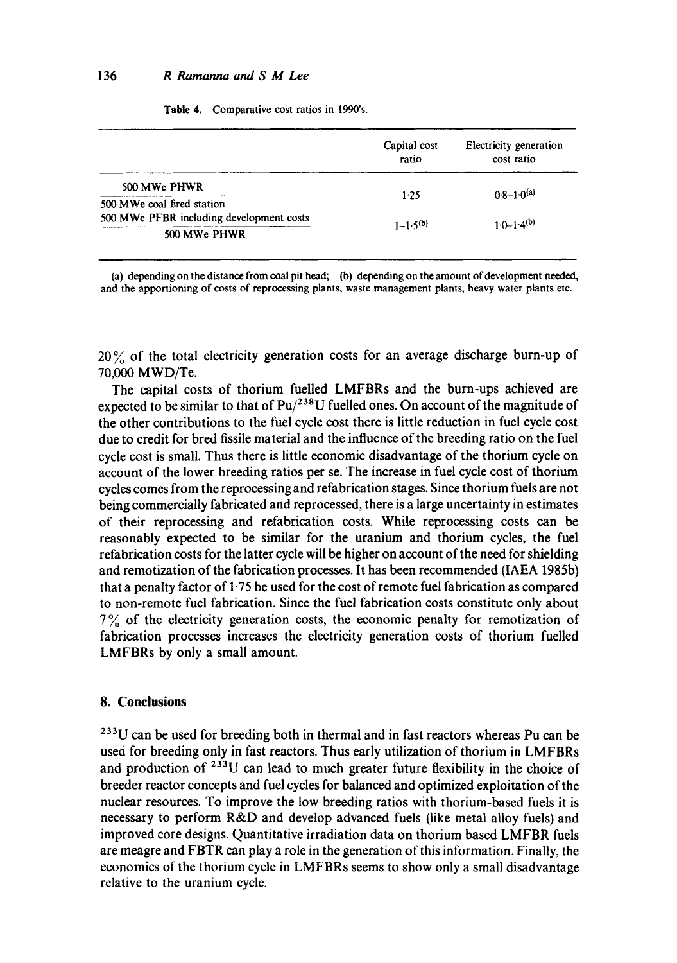|  | Table 4. Comparative cost ratios in 1990's. |  |  |
|--|---------------------------------------------|--|--|
|--|---------------------------------------------|--|--|

|                                          | Capital cost<br>ratio | Electricity generation<br>cost ratio |  |
|------------------------------------------|-----------------------|--------------------------------------|--|
| 500 MWe PHWR                             | 1.25                  | $0.8 - 1.0^{(a)}$                    |  |
| 500 MWe coal fired station               |                       |                                      |  |
| 500 MWe PFBR including development costs | $1 - 1.5^{(b)}$       | $10 - 14^{(b)}$                      |  |
| 500 MWe PHWR                             |                       |                                      |  |

(a) depending on the distance from coal pit head; (b) depending on the amount of development needed, and the apportioning of costs of reprocessing plants, waste management plants, heavy water plants etc.

20% of the total electricity generation costs for an average discharge burn-up of 70,000 MWD/Te.

The capital costs of thorium fuelled LMFBRs and the burn-ups achieved are expected to be similar to that of  $Pu/^{238}U$  fuelled ones. On account of the magnitude of the other contributions to the fuel cycle cost there is little reduction in fuel cycle cost due to credit for bred fissile material and the influence of the breeding ratio on the fuel cycle cost is small. Thus there is little economic disadvantage of the thorium cycle on account of the lower breeding ratios per se. The increase in fuel cycle cost of thorium cycles comes from the reprocessing and refabrication stages. Since thorium fuels are not being commercially fabricated and reprocessed, there is a large uncertainty in estimates of their reprocessing and refabrication costs. While reprocessing costs can be reasonably expected to be similar for the uranium and thorium cycles, the fuel refabrication costs for the latter cycle will be higher on account of the need for shielding and remotization of the fabrication processes. It has been recommended (IAEA 1985b) that a penalty factor of 1"75 be used for the cost of remote fuel fabrication as compared to non-remote fuel fabrication. Since the fuel fabrication costs constitute only about  $7\%$  of the electricity generation costs, the economic penalty for remotization of fabrication processes increases the electricity generation costs of thorium fuelled LMFBRs by only a small amount.

## **8. Conclusions**

<sup>233</sup>U can be used for breeding both in thermal and in fast reactors whereas Pu can be used for breeding only in fast reactors. Thus early utilization of thorium in LMFBRs and production of  $^{233}$ U can lead to much greater future flexibility in the choice of breeder reactor concepts and fuel cycles for balanced and optimized exploitation of the nuclear resources. To improve the low breeding ratios with thorium-based fuels it is necessary to perform R&D and develop advanced fuels (like metal alloy fuels) and improved core designs. Quantitative irradiation data on thorium based LMFBR fuels are meagre and FBTR can play a role in the generation of this information. Finally, the economics of the thorium cycle in LMFBRs seems to show only a small disadvantage relative to the uranium cycle.